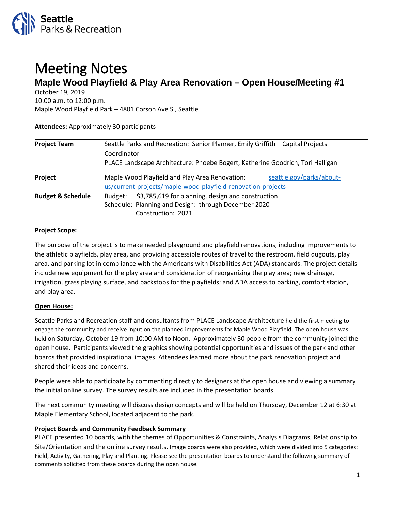

# Meeting Notes **Maple Wood Playfield & Play Area Renovation – Open House/Meeting #1**

October 19, 2019

10:00 a.m. to 12:00 p.m. Maple Wood Playfield Park – 4801 Corson Ave S., Seattle

**Attendees:** Approximately 30 participants

| <b>Project Team</b>          | Seattle Parks and Recreation: Senior Planner, Emily Griffith - Capital Projects                                                            |
|------------------------------|--------------------------------------------------------------------------------------------------------------------------------------------|
|                              | Coordinator                                                                                                                                |
|                              | PLACE Landscape Architecture: Phoebe Bogert, Katherine Goodrich, Tori Halligan                                                             |
| Project                      | Maple Wood Playfield and Play Area Renovation:<br>seattle.gov/parks/about-<br>us/current-projects/maple-wood-playfield-renovation-projects |
| <b>Budget &amp; Schedule</b> | \$3,785,619 for planning, design and construction<br>Budget:<br>Schedule: Planning and Design: through December 2020<br>Construction: 2021 |

## **Project Scope:**

The purpose of the project is to make needed playground and playfield renovations, including improvements to the athletic playfields, play area, and providing accessible routes of travel to the restroom, field dugouts, play area, and parking lot in compliance with the Americans with Disabilities Act (ADA) standards. The project details include new equipment for the play area and consideration of reorganizing the play area; new drainage, irrigation, grass playing surface, and backstops for the playfields; and ADA access to parking, comfort station, and play area.

## **Open House:**

Seattle Parks and Recreation staff and consultants from PLACE Landscape Architecture held the first meeting to engage the community and receive input on the planned improvements for Maple Wood Playfield. The open house was held on Saturday, October 19 from 10:00 AM to Noon. Approximately 30 people from the community joined the open house. Participants viewed the graphics showing potential opportunities and issues of the park and other boards that provided inspirational images. Attendees learned more about the park renovation project and shared their ideas and concerns.

People were able to participate by commenting directly to designers at the open house and viewing a summary the initial online survey. The survey results are included in the presentation boards.

The next community meeting will discuss design concepts and will be held on Thursday, December 12 at 6:30 at Maple Elementary School, located adjacent to the park.

## **Project Boards and Community Feedback Summary**

PLACE presented 10 boards, with the themes of Opportunities & Constraints, Analysis Diagrams, Relationship to Site/Orientation and the online survey results. Image boards were also provided, which were divided into 5 categories: Field, Activity, Gathering, Play and Planting. Please see the presentation boards to understand the following summary of comments solicited from these boards during the open house.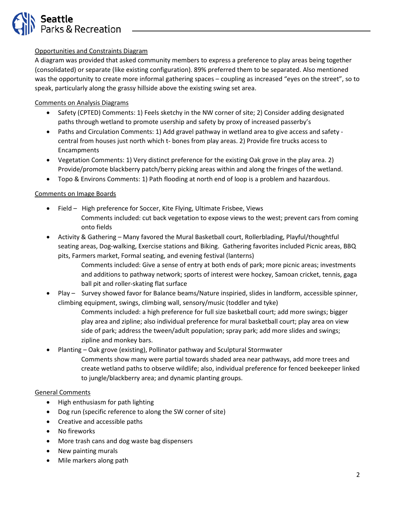

## Opportunities and Constraints Diagram

A diagram was provided that asked community members to express a preference to play areas being together (consolidated) or separate (like existing configuration). 89% preferred them to be separated. Also mentioned was the opportunity to create more informal gathering spaces – coupling as increased "eyes on the street", so to speak, particularly along the grassy hillside above the existing swing set area.

## Comments on Analysis Diagrams

- Safety (CPTED) Comments: 1) Feels sketchy in the NW corner of site; 2) Consider adding designated paths through wetland to promote usership and safety by proxy of increased passerby's
- Paths and Circulation Comments: 1) Add gravel pathway in wetland area to give access and safety central from houses just north which t- bones from play areas. 2) Provide fire trucks access to Encampments
- Vegetation Comments: 1) Very distinct preference for the existing Oak grove in the play area. 2) Provide/promote blackberry patch/berry picking areas within and along the fringes of the wetland.
- Topo & Environs Comments: 1) Path flooding at north end of loop is a problem and hazardous.

## Comments on Image Boards

- Field High preference for Soccer, Kite Flying, Ultimate Frisbee, Views Comments included: cut back vegetation to expose views to the west; prevent cars from coming onto fields
- Activity & Gathering Many favored the Mural Basketball court, Rollerblading, Playful/thoughtful seating areas, Dog-walking, Exercise stations and Biking. Gathering favorites included Picnic areas, BBQ pits, Farmers market, Formal seating, and evening festival (lanterns)
	- Comments included: Give a sense of entry at both ends of park; more picnic areas; investments and additions to pathway network; sports of interest were hockey, Samoan cricket, tennis, gaga ball pit and roller-skating flat surface
- Play Survey showed favor for Balance beams/Nature inspiried, slides in landform, accessible spinner, climbing equipment, swings, climbing wall, sensory/music (toddler and tyke)
	- Comments included: a high preference for full size basketball court; add more swings; bigger play area and zipline; also individual preference for mural basketball court; play area on view side of park; address the tween/adult population; spray park; add more slides and swings; zipline and monkey bars.
- Planting Oak grove (existing), Pollinator pathway and Sculptural Stormwater
	- Comments show many were partial towards shaded area near pathways, add more trees and create wetland paths to observe wildlife; also, individual preference for fenced beekeeper linked to jungle/blackberry area; and dynamic planting groups.

## General Comments

- High enthusiasm for path lighting
- Dog run (specific reference to along the SW corner of site)
- Creative and accessible paths
- No fireworks
- More trash cans and dog waste bag dispensers
- New painting murals
- Mile markers along path